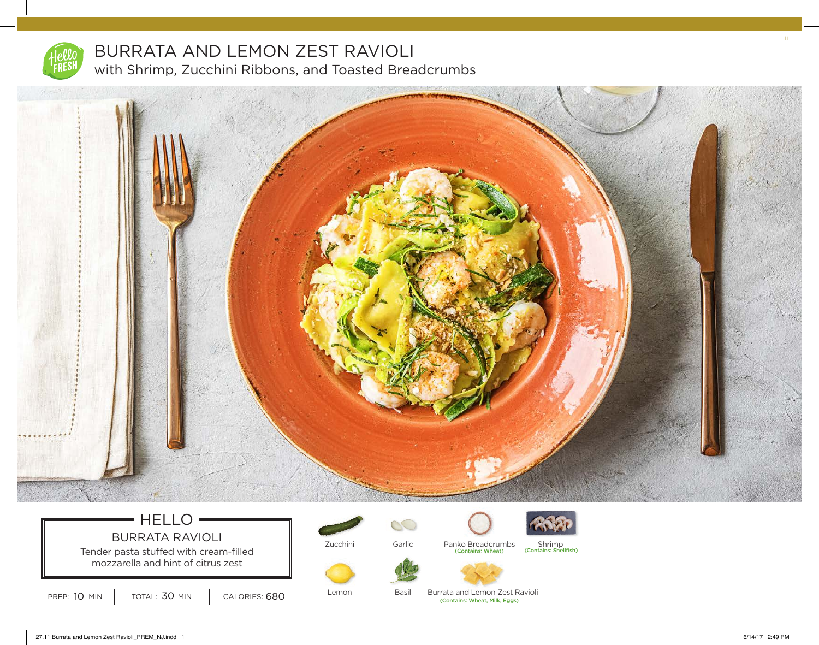

## BURRATA AND LEMON ZEST RAVIOLI with Shrimp, Zucchini Ribbons, and Toasted Breadcrumbs



# $=$  HELLO BURRATA RAVIOLI

Tender pasta stuffed with cream-filled mozzarella and hint of citrus zest

Zucchini



Basil

 $\infty$ 





Garlic Panko Breadcrumbs Shrimp<br>Contains: Wheat) (Contains: Shellfish)



PREP: 10 MIN  $\vert$  total: 30 MIN  $\vert$  calories: 680

Lemon

(Contains: Wheat, Milk, Eggs) Burrata and Lemon Zest Ravioli 11